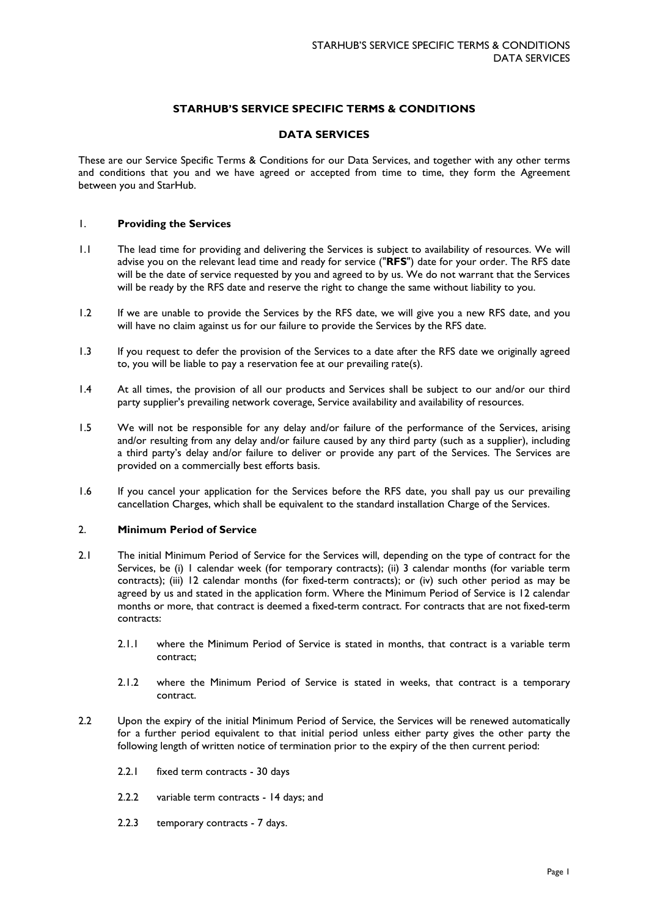# **STARHUB'S SERVICE SPECIFIC TERMS & CONDITIONS**

### **DATA SERVICES**

These are our Service Specific Terms & Conditions for our Data Services, and together with any other terms and conditions that you and we have agreed or accepted from time to time, they form the Agreement between you and StarHub.

### 1. **Providing the Services**

- 1.1 The lead time for providing and delivering the Services is subject to availability of resources. We will advise you on the relevant lead time and ready for service ("**RFS**") date for your order. The RFS date will be the date of service requested by you and agreed to by us. We do not warrant that the Services will be ready by the RFS date and reserve the right to change the same without liability to you.
- 1.2 If we are unable to provide the Services by the RFS date, we will give you a new RFS date, and you will have no claim against us for our failure to provide the Services by the RFS date.
- 1.3 If you request to defer the provision of the Services to a date after the RFS date we originally agreed to, you will be liable to pay a reservation fee at our prevailing rate(s).
- 1.4 At all times, the provision of all our products and Services shall be subject to our and/or our third party supplier's prevailing network coverage, Service availability and availability of resources.
- 1.5 We will not be responsible for any delay and/or failure of the performance of the Services, arising and/or resulting from any delay and/or failure caused by any third party (such as a supplier), including a third party's delay and/or failure to deliver or provide any part of the Services. The Services are provided on a commercially best efforts basis.
- 1.6 If you cancel your application for the Services before the RFS date, you shall pay us our prevailing cancellation Charges, which shall be equivalent to the standard installation Charge of the Services.

## 2. **Minimum Period of Service**

- 2.1 The initial Minimum Period of Service for the Services will, depending on the type of contract for the Services, be (i) I calendar week (for temporary contracts); (ii) 3 calendar months (for variable term contracts); (iii) 12 calendar months (for fixed-term contracts); or (iv) such other period as may be agreed by us and stated in the application form. Where the Minimum Period of Service is 12 calendar months or more, that contract is deemed a fixed-term contract. For contracts that are not fixed-term contracts:
	- 2.1.1 where the Minimum Period of Service is stated in months, that contract is a variable term contract;
	- 2.1.2 where the Minimum Period of Service is stated in weeks, that contract is a temporary contract.
- 2.2 Upon the expiry of the initial Minimum Period of Service, the Services will be renewed automatically for a further period equivalent to that initial period unless either party gives the other party the following length of written notice of termination prior to the expiry of the then current period:
	- 2.2.1 fixed term contracts 30 days
	- 2.2.2 variable term contracts 14 days; and
	- 2.2.3 temporary contracts 7 days.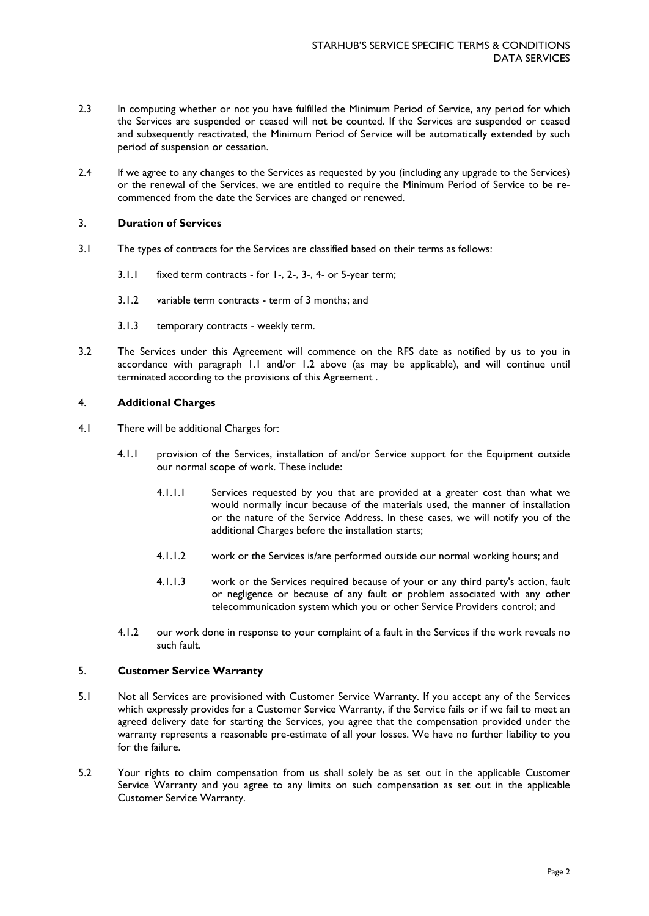- 2.3 In computing whether or not you have fulfilled the Minimum Period of Service, any period for which the Services are suspended or ceased will not be counted. If the Services are suspended or ceased and subsequently reactivated, the Minimum Period of Service will be automatically extended by such period of suspension or cessation.
- 2.4 If we agree to any changes to the Services as requested by you (including any upgrade to the Services) or the renewal of the Services, we are entitled to require the Minimum Period of Service to be recommenced from the date the Services are changed or renewed.

### 3. **Duration of Services**

- 3.1 The types of contracts for the Services are classified based on their terms as follows:
	- 3.1.1 fixed term contracts for 1-, 2-, 3-, 4- or 5-year term;
	- 3.1.2 variable term contracts term of 3 months; and
	- 3.1.3 temporary contracts weekly term.
- 3.2 The Services under this Agreement will commence on the RFS date as notified by us to you in accordance with paragraph 1.1 and/or 1.2 above (as may be applicable), and will continue until terminated according to the provisions of this Agreement .

## 4. **Additional Charges**

- 4.1 There will be additional Charges for:
	- 4.1.1 provision of the Services, installation of and/or Service support for the Equipment outside our normal scope of work. These include:
		- 4.1.1.1 Services requested by you that are provided at a greater cost than what we would normally incur because of the materials used, the manner of installation or the nature of the Service Address. In these cases, we will notify you of the additional Charges before the installation starts;
		- 4.1.1.2 work or the Services is/are performed outside our normal working hours; and
		- 4.1.1.3 work or the Services required because of your or any third party's action, fault or negligence or because of any fault or problem associated with any other telecommunication system which you or other Service Providers control; and
	- 4.1.2 our work done in response to your complaint of a fault in the Services if the work reveals no such fault.

### 5. **Customer Service Warranty**

- 5.1 Not all Services are provisioned with Customer Service Warranty. If you accept any of the Services which expressly provides for a Customer Service Warranty, if the Service fails or if we fail to meet an agreed delivery date for starting the Services, you agree that the compensation provided under the warranty represents a reasonable pre-estimate of all your losses. We have no further liability to you for the failure.
- 5.2 Your rights to claim compensation from us shall solely be as set out in the applicable Customer Service Warranty and you agree to any limits on such compensation as set out in the applicable Customer Service Warranty.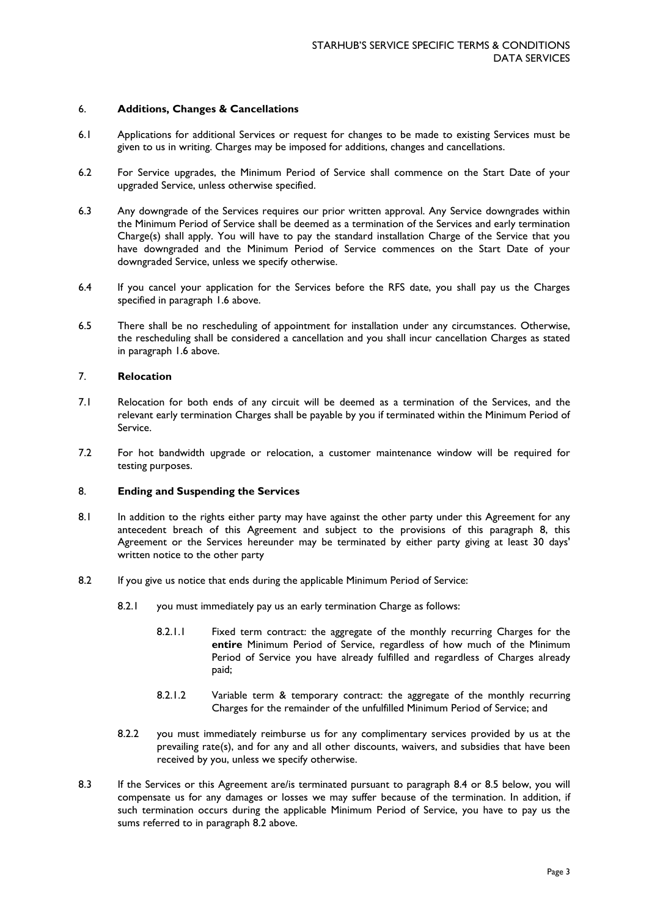### 6. **Additions, Changes & Cancellations**

- 6.1 Applications for additional Services or request for changes to be made to existing Services must be given to us in writing. Charges may be imposed for additions, changes and cancellations.
- 6.2 For Service upgrades, the Minimum Period of Service shall commence on the Start Date of your upgraded Service, unless otherwise specified.
- 6.3 Any downgrade of the Services requires our prior written approval. Any Service downgrades within the Minimum Period of Service shall be deemed as a termination of the Services and early termination Charge(s) shall apply. You will have to pay the standard installation Charge of the Service that you have downgraded and the Minimum Period of Service commences on the Start Date of your downgraded Service, unless we specify otherwise.
- 6.4 If you cancel your application for the Services before the RFS date, you shall pay us the Charges specified in paragraph 1.6 above.
- 6.5 There shall be no rescheduling of appointment for installation under any circumstances. Otherwise, the rescheduling shall be considered a cancellation and you shall incur cancellation Charges as stated in paragraph 1.6 above.

## 7. **Relocation**

- 7.1 Relocation for both ends of any circuit will be deemed as a termination of the Services, and the relevant early termination Charges shall be payable by you if terminated within the Minimum Period of Service.
- 7.2 For hot bandwidth upgrade or relocation, a customer maintenance window will be required for testing purposes.

#### 8. **Ending and Suspending the Services**

- 8.1 In addition to the rights either party may have against the other party under this Agreement for any antecedent breach of this Agreement and subject to the provisions of this paragraph 8, this Agreement or the Services hereunder may be terminated by either party giving at least 30 days' written notice to the other party
- 8.2 If you give us notice that ends during the applicable Minimum Period of Service:
	- 8.2.1 you must immediately pay us an early termination Charge as follows:
		- 8.2.1.1 Fixed term contract: the aggregate of the monthly recurring Charges for the **entire** Minimum Period of Service, regardless of how much of the Minimum Period of Service you have already fulfilled and regardless of Charges already paid;
		- 8.2.1.2 Variable term & temporary contract: the aggregate of the monthly recurring Charges for the remainder of the unfulfilled Minimum Period of Service; and
	- 8.2.2 you must immediately reimburse us for any complimentary services provided by us at the prevailing rate(s), and for any and all other discounts, waivers, and subsidies that have been received by you, unless we specify otherwise.
- 8.3 If the Services or this Agreement are/is terminated pursuant to paragraph 8.4 or 8.5 below, you will compensate us for any damages or losses we may suffer because of the termination. In addition, if such termination occurs during the applicable Minimum Period of Service, you have to pay us the sums referred to in paragraph 8.2 above.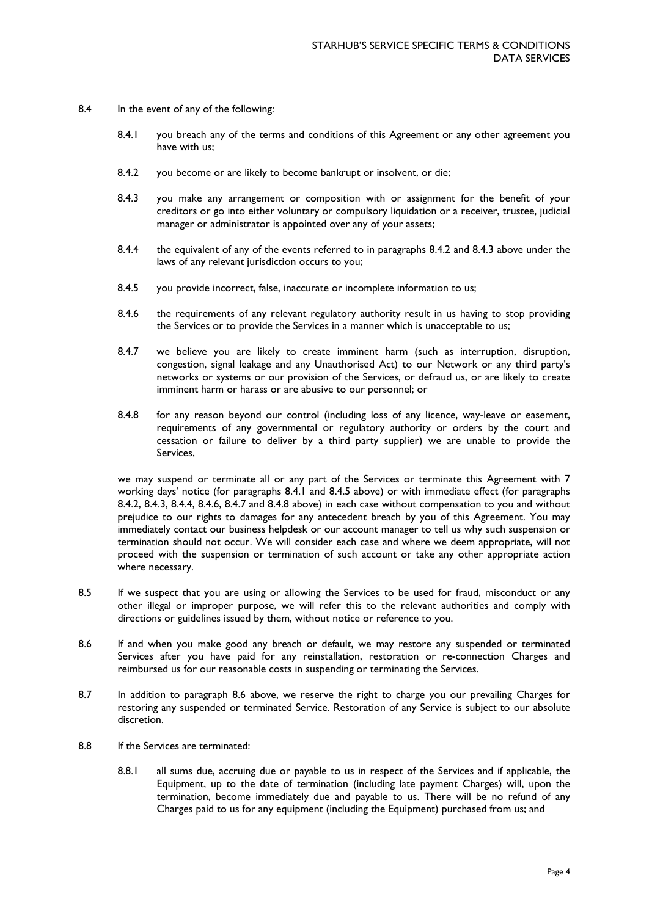- 8.4 In the event of any of the following:
	- 8.4.1 you breach any of the terms and conditions of this Agreement or any other agreement you have with us;
	- 8.4.2 you become or are likely to become bankrupt or insolvent, or die;
	- 8.4.3 you make any arrangement or composition with or assignment for the benefit of your creditors or go into either voluntary or compulsory liquidation or a receiver, trustee, judicial manager or administrator is appointed over any of your assets;
	- 8.4.4 the equivalent of any of the events referred to in paragraphs 8.4.2 and 8.4.3 above under the laws of any relevant jurisdiction occurs to you;
	- 8.4.5 you provide incorrect, false, inaccurate or incomplete information to us;
	- 8.4.6 the requirements of any relevant regulatory authority result in us having to stop providing the Services or to provide the Services in a manner which is unacceptable to us;
	- 8.4.7 we believe you are likely to create imminent harm (such as interruption, disruption, congestion, signal leakage and any Unauthorised Act) to our Network or any third party's networks or systems or our provision of the Services, or defraud us, or are likely to create imminent harm or harass or are abusive to our personnel; or
	- 8.4.8 for any reason beyond our control (including loss of any licence, way-leave or easement, requirements of any governmental or regulatory authority or orders by the court and cessation or failure to deliver by a third party supplier) we are unable to provide the Services,

we may suspend or terminate all or any part of the Services or terminate this Agreement with 7 working days' notice (for paragraphs 8.4.1 and 8.4.5 above) or with immediate effect (for paragraphs 8.4.2, 8.4.3, 8.4.4, 8.4.6, 8.4.7 and 8.4.8 above) in each case without compensation to you and without prejudice to our rights to damages for any antecedent breach by you of this Agreement. You may immediately contact our business helpdesk or our account manager to tell us why such suspension or termination should not occur. We will consider each case and where we deem appropriate, will not proceed with the suspension or termination of such account or take any other appropriate action where necessary.

- 8.5 If we suspect that you are using or allowing the Services to be used for fraud, misconduct or any other illegal or improper purpose, we will refer this to the relevant authorities and comply with directions or guidelines issued by them, without notice or reference to you.
- 8.6 If and when you make good any breach or default, we may restore any suspended or terminated Services after you have paid for any reinstallation, restoration or re-connection Charges and reimbursed us for our reasonable costs in suspending or terminating the Services.
- 8.7 In addition to paragraph 8.6 above, we reserve the right to charge you our prevailing Charges for restoring any suspended or terminated Service. Restoration of any Service is subject to our absolute discretion.
- 8.8 If the Services are terminated:
	- 8.8.1 all sums due, accruing due or payable to us in respect of the Services and if applicable, the Equipment, up to the date of termination (including late payment Charges) will, upon the termination, become immediately due and payable to us. There will be no refund of any Charges paid to us for any equipment (including the Equipment) purchased from us; and